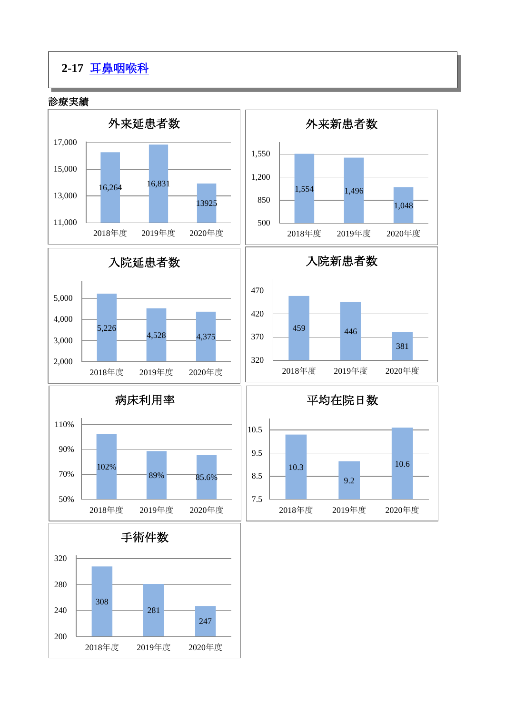# **2-17** [耳鼻咽喉科](https://www.hosp-shizuoka.juntendo.ac.jp/department/otorhinolary/)

診療実績